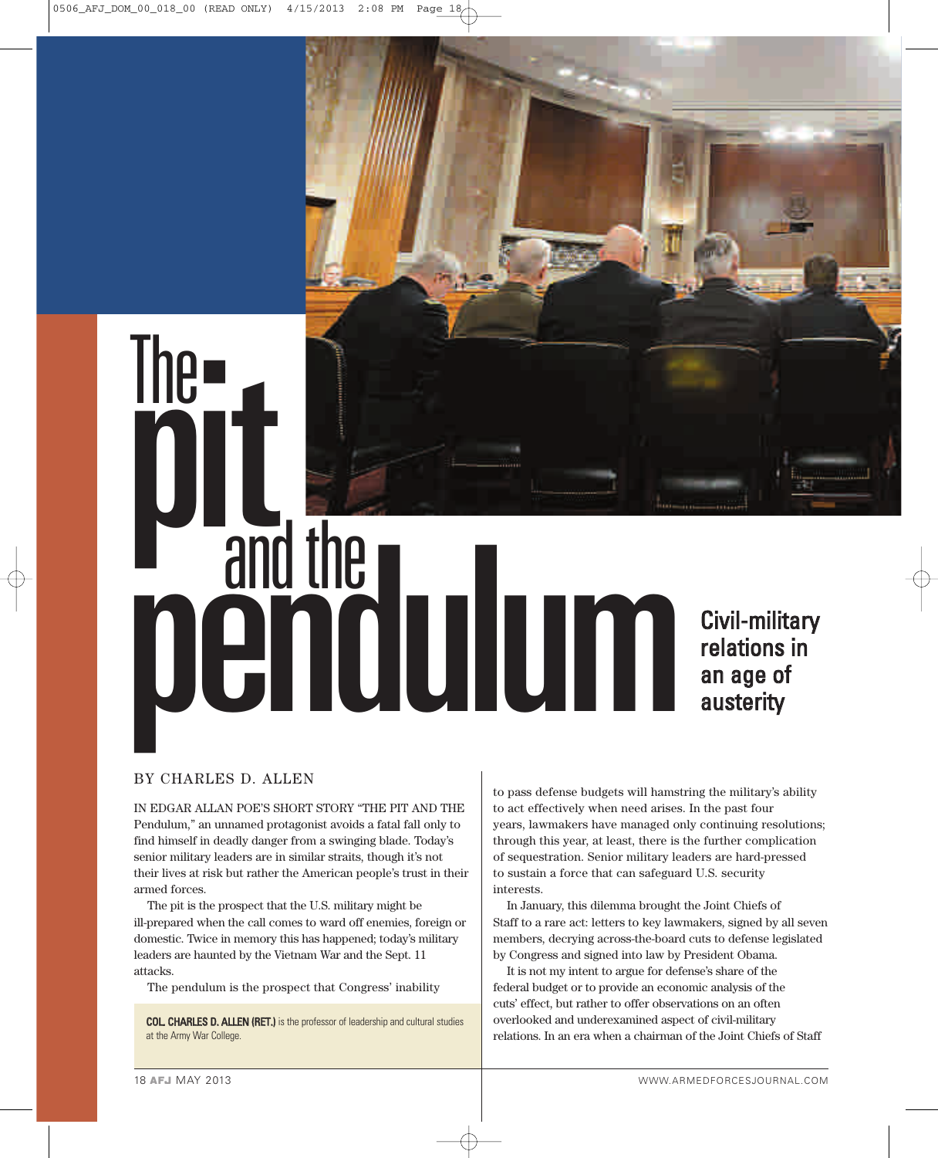# **The discription** and the period civil-military relations in relations in an age of austerity

# BY CHARLES D. ALLEN

IN EDGAR ALLAN POE'S SHORT STORY "THE PIT AND THE Pendulum," an unnamed protagonist avoids a fatal fall only to find himself in deadly danger from a swinging blade. Today's senior military leaders are in similar straits, though it's not their lives at risk but rather the American people's trust in their armed forces.

The pit is the prospect that the U.S. military might be ill-prepared when the call comes to ward off enemies, foreign or domestic. Twice in memory this has happened; today's military leaders are haunted by the Vietnam War and the Sept. 11 attacks.

The pendulum is the prospect that Congress' inability

COL. CHARLES D. ALLEN (RET.) is the professor of leadership and cultural studies at the Army War College.

to pass defense budgets will hamstring the military's ability to act effectively when need arises. In the past four years, lawmakers have managed only continuing resolutions; through this year, at least, there is the further complication of sequestration. Senior military leaders are hard-pressed to sustain a force that can safeguard U.S. security interests.

In January, this dilemma brought the Joint Chiefs of Staff to a rare act: letters to key lawmakers, signed by all seven members, decrying across-the-board cuts to defense legislated by Congress and signed into law by President Obama.

It is not my intent to argue for defense's share of the federal budget or to provide an economic analysis of the cuts' effect, but rather to offer observations on an often overlooked and underexamined aspect of civil-military relations. In an era when a chairman of the Joint Chiefs of Staff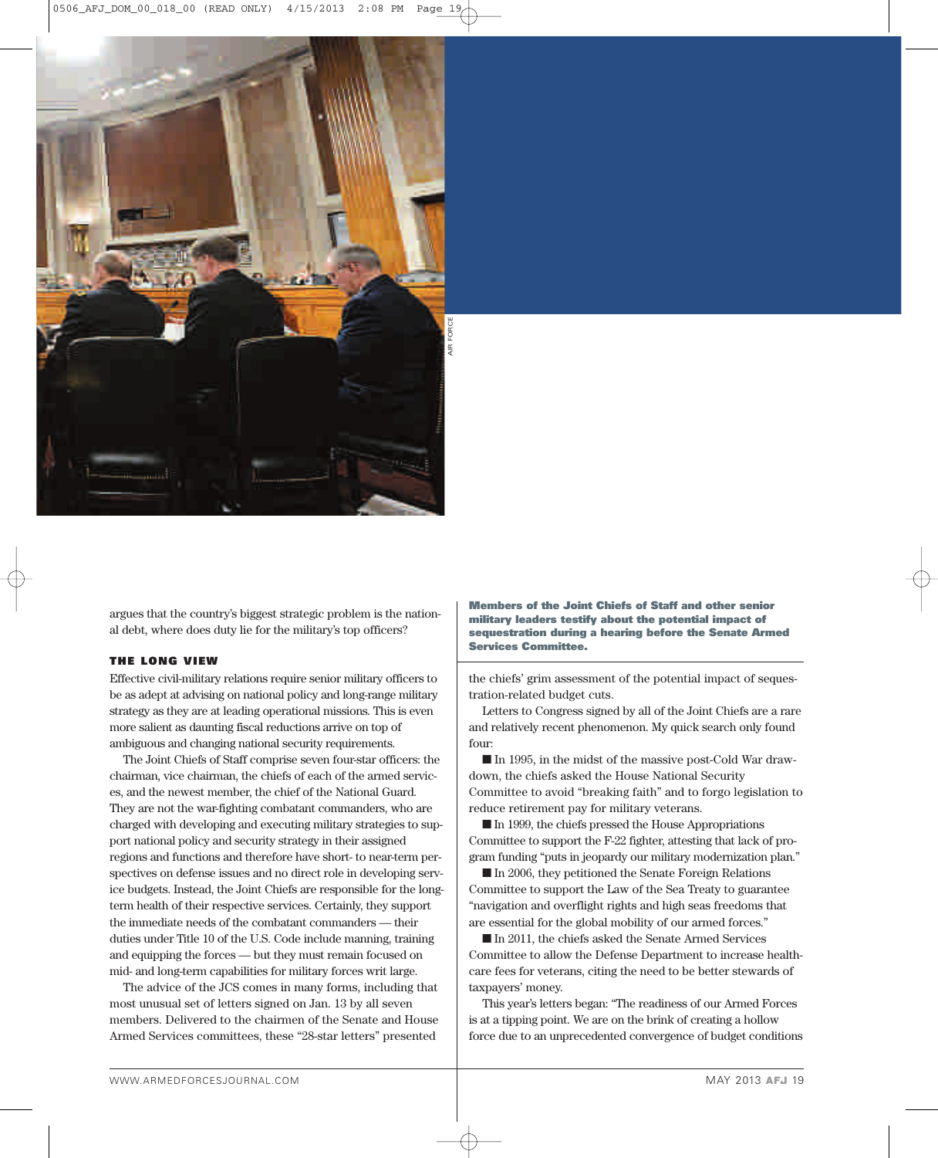

argues that the country's biggest strategic problem is the national debt, where does duty lie for the military's top officers?

# THE LONG VIEW

Effective civil-military relations require senior military officers to be as adept at advising on national policy and long-range military strategy as they are at leading operational missions. This is even more salient as daunting fiscal reductions arrive on top of ambiguous and changing national security requirements.

The Joint Chiefs of Staff comprise seven four-star officers: the chairman, vice chairman, the chiefs of each of the armed services, and the newest member, the chief of the National Guard. They are not the war-fighting combatant commanders, who are charged with developing and executing military strategies to support national policy and security strategy in their assigned regions and functions and therefore have short- to near-term perspectives on defense issues and no direct role in developing service budgets. Instead, the Joint Chiefs are responsible for the longterm health of their respective services. Certainly, they support the immediate needs of the combatant commanders — their duties under Title 10 of the U.S. Code include manning, training and equipping the forces — but they must remain focused on mid- and long-term capabilities for military forces writ large.

The advice of the JCS comes in many forms, including that most unusual set of letters signed on Jan. 13 by all seven members. Delivered to the chairmen of the Senate and House Armed Services committees, these "28-star letters" presented

Members of the Joint Chiefs of Staff and other senior military leaders testify about the potential impact of sequestration during a hearing before the Senate Armed Services Committee.

the chiefs' grim assessment of the potential impact of sequestration-related budget cuts.

Letters to Congress signed by all of the Joint Chiefs are a rare and relatively recent phenomenon. My quick search only found four:

å In 1995, in the midst of the massive post-Cold War drawdown, the chiefs asked the House National Security Committee to avoid "breaking faith" and to forgo legislation to reduce retirement pay for military veterans.

 $\blacksquare$  In 1999, the chiefs pressed the House Appropriations Committee to support the F-22 fighter, attesting that lack of program funding "puts in jeopardy our military modernization plan."

 $\blacksquare$  In 2006, they petitioned the Senate Foreign Relations Committee to support the Law of the Sea Treaty to guarantee "navigation and overflight rights and high seas freedoms that are essential for the global mobility of our armed forces."

å In 2011, the chiefs asked the Senate Armed Services Committee to allow the Defense Department to increase healthcare fees for veterans, citing the need to be better stewards of taxpayers' money.

This year's letters began: "The readiness of our Armed Forces is at a tipping point. We are on the brink of creating a hollow force due to an unprecedented convergence of budget conditions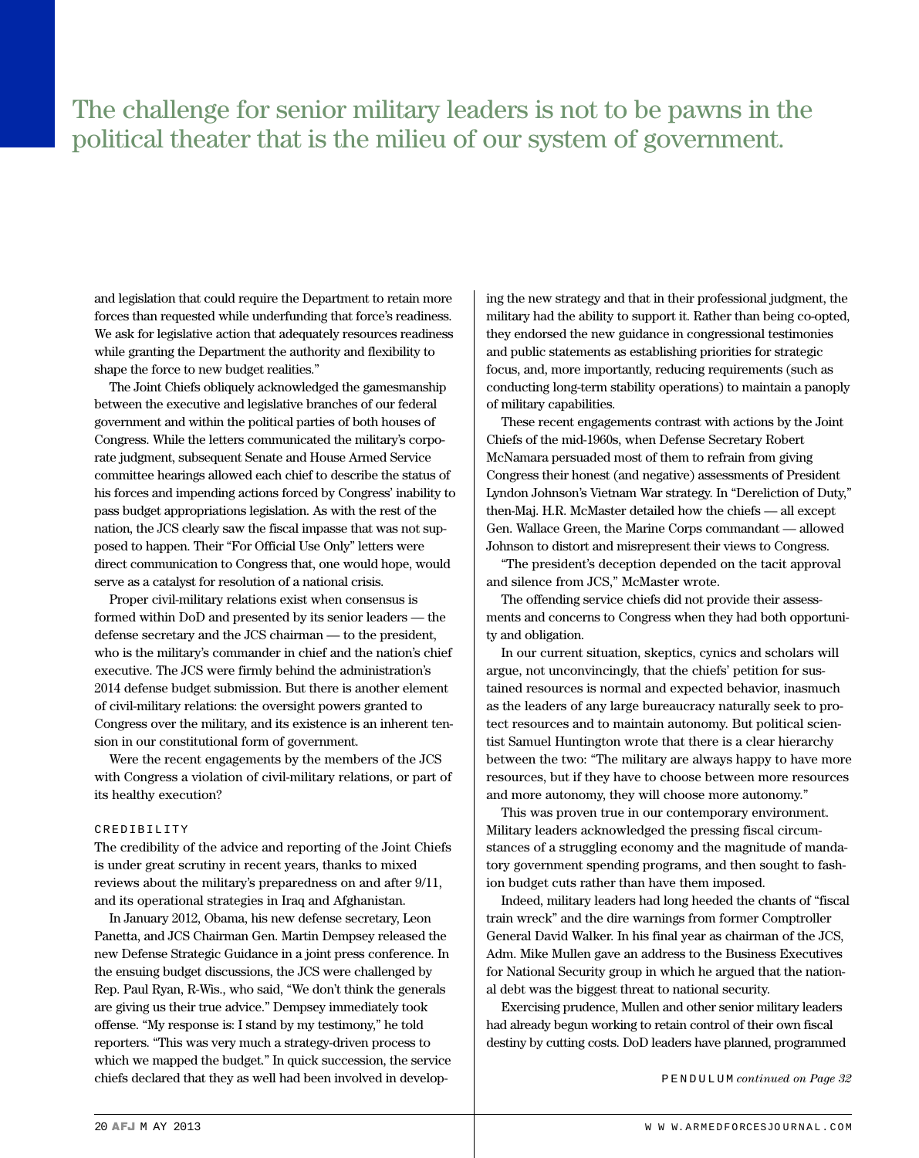# The challenge for senior military leaders is not to be pawns in the political theater that is the milieu of our system of government.

and legislation that could require the Department to retain more forces than requested while underfunding that force's readiness. We ask for legislative action that adequately resources readiness while granting the Department the authority and flexibility to shape the force to new budget realities."

The Joint Chiefs obliquely acknowledged the gamesmanship between the executive and legislative branches of our federal government and within the political parties of both houses of Congress. While the letters communicated the military's corporate judgment, subsequent Senate and House Armed Service committee hearings allowed each chief to describe the status of his forces and impending actions forced by Congress' inability to pass budget appropriations legislation. As with the rest of the nation, the JCS clearly saw the fiscal impasse that was not supposed to happen. Their "For Official Use Only" letters were direct communication to Congress that, one would hope, would serve as a catalyst for resolution of a national crisis.

Proper civil-military relations exist when consensus is formed within DoD and presented by its senior leaders — the defense secretary and the JCS chairman — to the president, who is the military's commander in chief and the nation's chief executive. The JCS were firmly behind the administration's 2014 defense budget submission. But there is another element of civil-military relations: the oversight powers granted to Congress over the military, and its existence is an inherent tension in our constitutional form of government.

Were the recent engagements by the members of the JCS with Congress a violation of civil-military relations, or part of its healthy execution?

# CREDIBILITY

The credibility of the advice and reporting of the Joint Chiefs is under great scrutiny in recent years, thanks to mixed reviews about the military's preparedness on and after 9/11, and its operational strategies in Iraq and Afghanistan.

In January 2012, Obama, his new defense secretary, Leon Panetta, and JCS Chairman Gen. Martin Dempsey released the new Defense Strategic Guidance in a joint press conference. In the ensuing budget discussions, the JCS were challenged by Rep. Paul Ryan, R-Wis., who said, "We don't think the generals are giving us their true advice." Dempsey immediately took offense. "My response is: I stand by my testimony," he told reporters. "This was very much a strategy-driven process to which we mapped the budget." In quick succession, the service chiefs declared that they as well had been involved in developing the new strategy and that in their professional judgment, the military had the ability to support it. Rather than being co-opted, they endorsed the new guidance in congressional testimonies and public statements as establishing priorities for strategic focus, and, more importantly, reducing requirements (such as conducting long-term stability operations) to maintain a panoply of military capabilities.

These recent engagements contrast with actions by the Joint Chiefs of the mid-1960s, when Defense Secretary Robert McNamara persuaded most of them to refrain from giving Congress their honest (and negative) assessments of President Lyndon Johnson's Vietnam War strategy. In "Dereliction of Duty," then-Maj. H.R. McMaster detailed how the chiefs — all except Gen. Wallace Green, the Marine Corps commandant — allowed Johnson to distort and misrepresent their views to Congress.

"The president's deception depended on the tacit approval and silence from JCS," McMaster wrote.

The offending service chiefs did not provide their assessments and concerns to Congress when they had both opportunity and obligation.

In our current situation, skeptics, cynics and scholars will argue, not unconvincingly, that the chiefs' petition for sustained resources is normal and expected behavior, inasmuch as the leaders of any large bureaucracy naturally seek to protect resources and to maintain autonomy. But political scientist Samuel Huntington wrote that there is a clear hierarchy between the two: "The military are always happy to have more resources, but if they have to choose between more resources and more autonomy, they will choose more autonomy."

This was proven true in our contemporary environment. Military leaders acknowledged the pressing fiscal circumstances of a struggling economy and the magnitude of mandatory government spending programs, and then sought to fashion budget cuts rather than have them imposed.

Indeed, military leaders had long heeded the chants of "fiscal train wreck" and the dire warnings from former Comptroller General David Walker. In his final year as chairman of the JCS, Adm. Mike Mullen gave an address to the Business Executives for National Security group in which he argued that the national debt was the biggest threat to national security.

Exercising prudence, Mullen and other senior military leaders had already begun working to retain control of their own fiscal destiny by cutting costs. DoD leaders have planned, programmed

P E N D U L U M *continued on Page 32*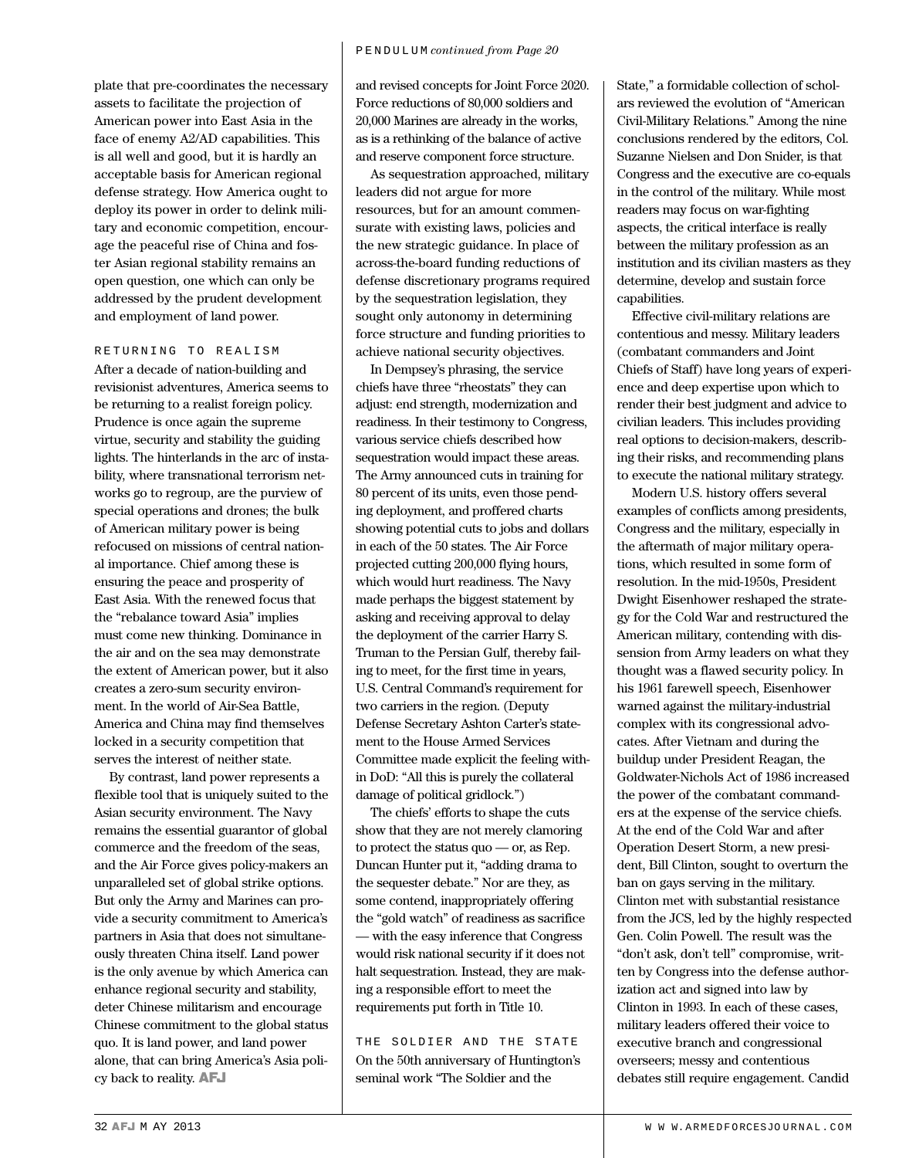plate that pre-coordinates the necessary assets to facilitate the projection of American power into East Asia in the face of enemy A2/AD capabilities. This is all well and good, but it is hardly an acceptable basis for American regional defense strategy. How America ought to deploy its power in order to delink military and economic competition, encourage the peaceful rise of China and foster Asian regional stability remains an open question, one which can only be addressed by the prudent development and employment of land power.

# RETURNING TO REALISM

After a decade of nation-building and revisionist adventures, America seems to be returning to a realist foreign policy. Prudence is once again the supreme virtue, security and stability the guiding lights. The hinterlands in the arc of instability, where transnational terrorism networks go to regroup, are the purview of special operations and drones; the bulk of American military power is being refocused on missions of central national importance. Chief among these is ensuring the peace and prosperity of East Asia. With the renewed focus that the "rebalance toward Asia" implies must come new thinking. Dominance in the air and on the sea may demonstrate the extent of American power, but it also creates a zero-sum security environment. In the world of Air-Sea Battle, America and China may find themselves locked in a security competition that serves the interest of neither state.

By contrast, land power represents a flexible tool that is uniquely suited to the Asian security environment. The Navy remains the essential guarantor of global commerce and the freedom of the seas, and the Air Force gives policy-makers an unparalleled set of global strike options. But only the Army and Marines can provide a security commitment to America's partners in Asia that does not simultaneously threaten China itself. Land power is the only avenue by which America can enhance regional security and stability, deter Chinese militarism and encourage Chinese commitment to the global status quo. It is land power, and land power alone, that can bring America's Asia policy back to reality. AFJ

and revised concepts for Joint Force 2020. Force reductions of 80,000 soldiers and 20,000 Marines are already in the works, as is a rethinking of the balance of active and reserve component force structure.

As sequestration approached, military leaders did not argue for more resources, but for an amount commensurate with existing laws, policies and the new strategic guidance. In place of across-the-board funding reductions of defense discretionary programs required by the sequestration legislation, they sought only autonomy in determining force structure and funding priorities to achieve national security objectives.

In Dempsey's phrasing, the service chiefs have three "rheostats" they can adjust: end strength, modernization and readiness. In their testimony to Congress, various service chiefs described how sequestration would impact these areas. The Army announced cuts in training for 80 percent of its units, even those pending deployment, and proffered charts showing potential cuts to jobs and dollars in each of the 50 states. The Air Force projected cutting 200,000 flying hours, which would hurt readiness. The Navy made perhaps the biggest statement by asking and receiving approval to delay the deployment of the carrier Harry S. Truman to the Persian Gulf, thereby failing to meet, for the first time in years, U.S. Central Command's requirement for two carriers in the region. (Deputy Defense Secretary Ashton Carter's statement to the House Armed Services Committee made explicit the feeling within DoD: "All this is purely the collateral damage of political gridlock.")

The chiefs' efforts to shape the cuts show that they are not merely clamoring to protect the status quo — or, as Rep. Duncan Hunter put it, "adding drama to the sequester debate." Nor are they, as some contend, inappropriately offering the "gold watch" of readiness as sacrifice — with the easy inference that Congress would risk national security if it does not halt sequestration. Instead, they are making a responsible effort to meet the requirements put forth in Title 10.

THE SOLDIER AND THE STATE On the 50th anniversary of Huntington's seminal work "The Soldier and the

State," a formidable collection of scholars reviewed the evolution of "American Civil-Military Relations." Among the nine conclusions rendered by the editors, Col. Suzanne Nielsen and Don Snider, is that Congress and the executive are co-equals in the control of the military. While most readers may focus on war-fighting aspects, the critical interface is really between the military profession as an institution and its civilian masters as they determine, develop and sustain force capabilities.

Effective civil-military relations are contentious and messy. Military leaders (combatant commanders and Joint Chiefs of Staff) have long years of experience and deep expertise upon which to render their best judgment and advice to civilian leaders. This includes providing real options to decision-makers, describing their risks, and recommending plans to execute the national military strategy.

Modern U.S. history offers several examples of conflicts among presidents, Congress and the military, especially in the aftermath of major military operations, which resulted in some form of resolution. In the mid-1950s, President Dwight Eisenhower reshaped the strategy for the Cold War and restructured the American military, contending with dissension from Army leaders on what they thought was a flawed security policy. In his 1961 farewell speech, Eisenhower warned against the military-industrial complex with its congressional advocates. After Vietnam and during the buildup under President Reagan, the Goldwater-Nichols Act of 1986 increased the power of the combatant commanders at the expense of the service chiefs. At the end of the Cold War and after Operation Desert Storm, a new president, Bill Clinton, sought to overturn the ban on gays serving in the military. Clinton met with substantial resistance from the JCS, led by the highly respected Gen. Colin Powell. The result was the "don't ask, don't tell" compromise, written by Congress into the defense authorization act and signed into law by Clinton in 1993. In each of these cases, military leaders offered their voice to executive branch and congressional overseers; messy and contentious debates still require engagement. Candid